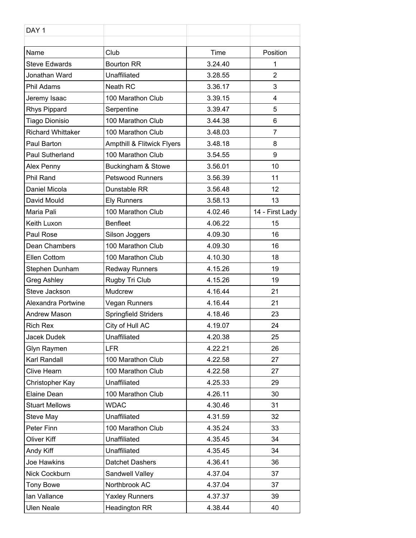| DAY <sub>1</sub>         |                            |         |                 |
|--------------------------|----------------------------|---------|-----------------|
| Name                     | Club                       | Time    | Position        |
| <b>Steve Edwards</b>     | <b>Bourton RR</b>          | 3.24.40 | 1               |
| Jonathan Ward            | Unaffiliated               | 3.28.55 | $\overline{2}$  |
| Phil Adams               | Neath RC                   | 3.36.17 | 3               |
| Jeremy Isaac             | 100 Marathon Club          | 3.39.15 | 4               |
| <b>Rhys Pippard</b>      | Serpentine                 | 3.39.47 | 5               |
| Tiago Dionisio           | 100 Marathon Club          | 3.44.38 | 6               |
| <b>Richard Whittaker</b> | 100 Marathon Club          | 3.48.03 | $\overline{7}$  |
| Paul Barton              | Ampthill & Flitwick Flyers | 3.48.18 | 8               |
| <b>Paul Sutherland</b>   | 100 Marathon Club          | 3.54.55 | 9               |
| Alex Penny               | Buckingham & Stowe         | 3.56.01 | 10              |
| Phil Rand                | <b>Petswood Runners</b>    | 3.56.39 | 11              |
| Daniel Micola            | Dunstable RR               | 3.56.48 | 12              |
| David Mould              | <b>Ely Runners</b>         | 3.58.13 | 13              |
| Maria Pali               | 100 Marathon Club          | 4.02.46 | 14 - First Lady |
| Keith Luxon              | <b>Benfleet</b>            | 4.06.22 | 15              |
| Paul Rose                | Silson Joggers             | 4.09.30 | 16              |
| Dean Chambers            | 100 Marathon Club          | 4.09.30 | 16              |
| Ellen Cottom             | 100 Marathon Club          | 4.10.30 | 18              |
| Stephen Dunham           | <b>Redway Runners</b>      | 4.15.26 | 19              |
| Greg Ashley              | Rugby Tri Club             | 4.15.26 | 19              |
| Steve Jackson            | Mudcrew                    | 4.16.44 | 21              |
| Alexandra Portwine       | Vegan Runners              | 4.16.44 | 21              |
| Andrew Mason             | Springfield Striders       | 4.18.46 | 23              |
| <b>Rich Rex</b>          | City of Hull AC            | 4.19.07 | 24              |
| Jacek Dudek              | Unaffiliated               | 4.20.38 | 25              |
| Glyn Raymen              | LFR                        | 4.22.21 | 26              |
| Karl Randall             | 100 Marathon Club          | 4.22.58 | 27              |
| Clive Hearn              | 100 Marathon Club          | 4.22.58 | 27              |
| Christopher Kay          | Unaffiliated               | 4.25.33 | 29              |
| Elaine Dean              | 100 Marathon Club          | 4.26.11 | 30              |
| <b>Stuart Mellows</b>    | <b>WDAC</b>                | 4.30.46 | 31              |
| Steve May                | Unaffiliated               | 4.31.59 | 32              |
| Peter Finn               | 100 Marathon Club          | 4.35.24 | 33              |
| Oliver Kiff              | Unaffiliated               | 4.35.45 | 34              |
| Andy Kiff                | Unaffiliated               | 4.35.45 | 34              |
| Joe Hawkins              | Datchet Dashers            | 4.36.41 | 36              |
| Nick Cockburn            | Sandwell Valley            | 4.37.04 | 37              |
| <b>Tony Bowe</b>         | Northbrook AC              | 4.37.04 | 37              |
| Ian Vallance             | <b>Yaxley Runners</b>      | 4.37.37 | 39              |
| <b>Ulen Neale</b>        | <b>Headington RR</b>       | 4.38.44 | 40              |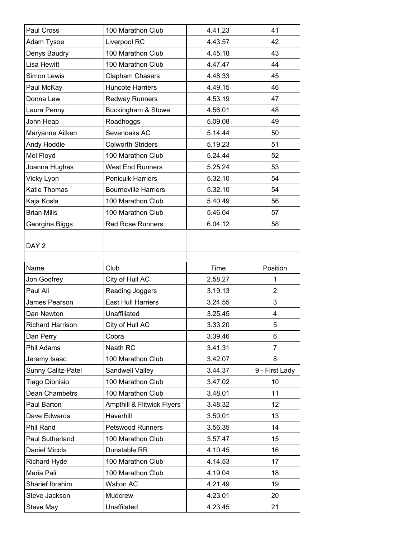| Paul Cross              | 100 Marathon Club           | 4.41.23 | 41             |
|-------------------------|-----------------------------|---------|----------------|
| Adam Tysoe              | Liverpool RC                | 4.43.57 | 42             |
| Denys Baudry            | 100 Marathon Club           | 4.45.18 | 43             |
| Lisa Hewitt             | 100 Marathon Club           | 4.47.47 | 44             |
| Simon Lewis             | Clapham Chasers             | 4.48.33 | 45             |
| Paul McKay              | <b>Huncote Harriers</b>     | 4.49.15 | 46             |
| Donna Law               | <b>Redway Runners</b>       | 4.53.19 | 47             |
| Laura Penny             | Buckingham & Stowe          | 4.56.01 | 48             |
| John Heap               | Roadhoggs                   | 5.09.08 | 49             |
| Maryanne Aitken         | Sevenoaks AC                | 5.14.44 | 50             |
| Andy Hoddle             | <b>Colworth Striders</b>    | 5.19.23 | 51             |
| Mel Floyd               | 100 Marathon Club           | 5.24.44 | 52             |
| Joanna Hughes           | <b>West End Runners</b>     | 5.25.24 | 53             |
| Vicky Lyon              | <b>Penicuik Harriers</b>    | 5.32.10 | 54             |
| Katie Thomas            | <b>Bourneville Harriers</b> | 5.32.10 | 54             |
| Kaja Kosla              | 100 Marathon Club           | 5.40.49 | 56             |
| <b>Brian Mills</b>      | 100 Marathon Club           | 5.46.04 | 57             |
| Georgina Biggs          | <b>Red Rose Runners</b>     | 6.04.12 | 58             |
|                         |                             |         |                |
| DAY 2                   |                             |         |                |
|                         |                             |         |                |
| Name                    | Club                        | Time    | Position       |
| Jon Godfrey             | City of Hull AC             | 2.58.27 | 1              |
| Paul Ali                | Reading Joggers             | 3.19.13 | $\overline{2}$ |
| James Pearson           | East Hull Harriers          | 3.24.55 | 3              |
| Dan Newton              | Unaffiliated                | 3.25.45 | 4              |
| <b>Richard Harrison</b> | City of Hull AC             | 3.33.20 | 5              |
| Dan Perry               | Cobra                       | 3.39.46 | 6              |
| Phil Adams              | Neath RC                    | 3.41.31 | $\overline{7}$ |
| Jeremy Isaac            | 100 Marathon Club           | 3.42.07 | 8              |
| Sunny Calitz-Patel      | Sandwell Valley             | 3.44.37 | 9 - First Lady |
| Tiago Dionisio          | 100 Marathon Club           | 3.47.02 | 10             |
| Dean Chambetrs          | 100 Marathon Club           | 3.48.01 | 11             |
| Paul Barton             | Ampthill & Flitwick Flyers  | 3.48.32 | 12             |
| Dave Edwards            | Haverhill                   | 3.50.01 | 13             |
| Phil Rand               | <b>Petswood Runners</b>     | 3.56.35 | 14             |
| Paul Sutherland         | 100 Marathon Club           | 3.57.47 | 15             |
| Daniel Micola           | Dunstable RR                | 4.10.45 | 16             |
| <b>Richard Hyde</b>     | 100 Marathon Club           | 4.14.53 | 17             |
| Maria Pali              | 100 Marathon Club           | 4.19.04 | 18             |
| Sharief Ibrahim         | <b>Walton AC</b>            | 4.21.49 | 19             |
| Steve Jackson           | Mudcrew                     | 4.23.01 | 20             |
| Steve May               | Unaffilated                 | 4.23.45 | 21             |